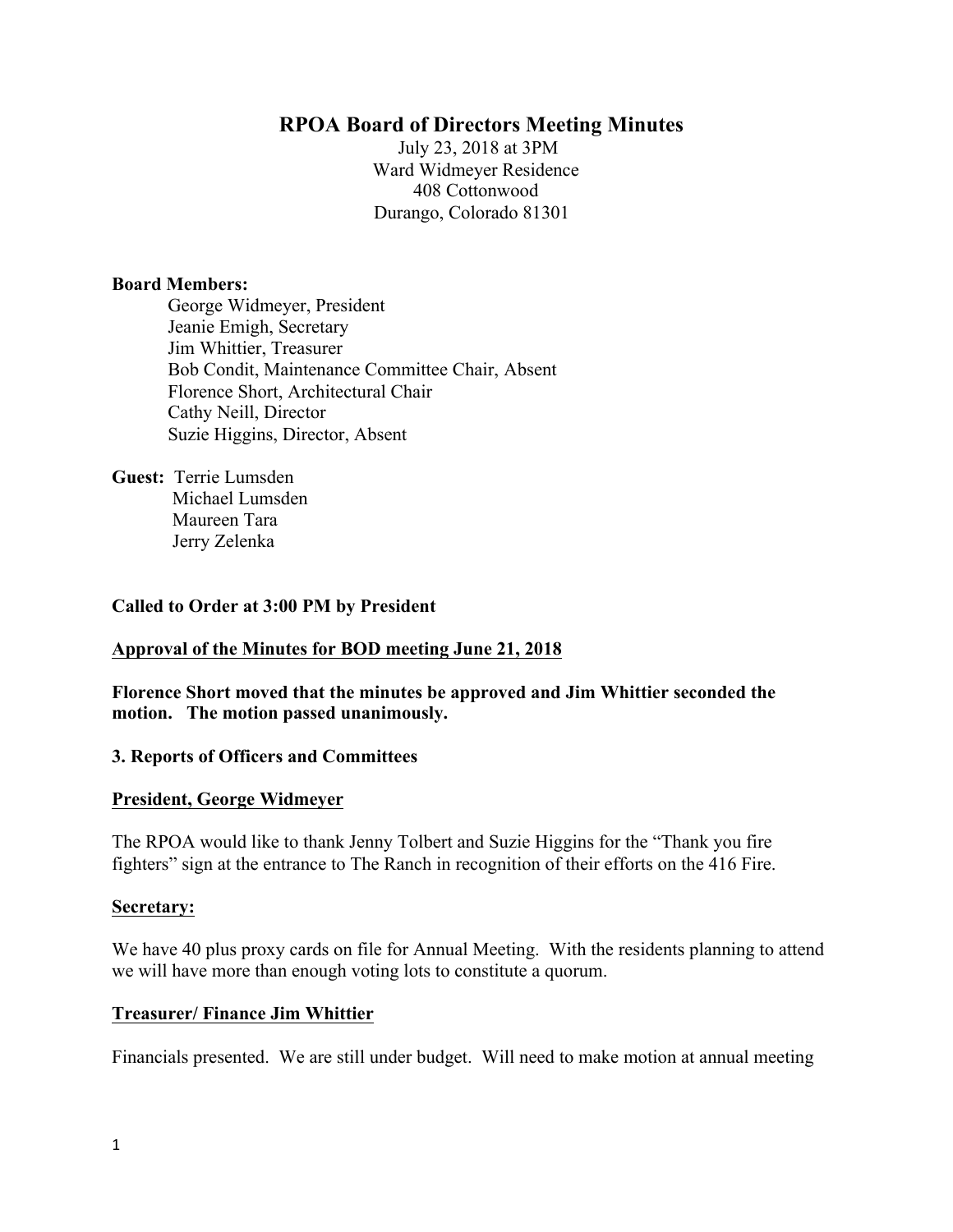# **RPOA Board of Directors Meeting Minutes**

July 23, 2018 at 3PM Ward Widmeyer Residence 408 Cottonwood Durango, Colorado 81301

#### **Board Members:**

George Widmeyer, President Jeanie Emigh, Secretary Jim Whittier, Treasurer Bob Condit, Maintenance Committee Chair, Absent Florence Short, Architectural Chair Cathy Neill, Director Suzie Higgins, Director, Absent

**Guest:** Terrie Lumsden Michael Lumsden Maureen Tara Jerry Zelenka

#### **Called to Order at 3:00 PM by President**

#### **Approval of the Minutes for BOD meeting June 21, 2018**

**Florence Short moved that the minutes be approved and Jim Whittier seconded the motion. The motion passed unanimously.** 

#### **3. Reports of Officers and Committees**

#### **President, George Widmeyer**

The RPOA would like to thank Jenny Tolbert and Suzie Higgins for the "Thank you fire fighters" sign at the entrance to The Ranch in recognition of their efforts on the 416 Fire.

#### **Secretary:**

We have 40 plus proxy cards on file for Annual Meeting. With the residents planning to attend we will have more than enough voting lots to constitute a quorum.

#### **Treasurer/ Finance Jim Whittier**

Financials presented. We are still under budget. Will need to make motion at annual meeting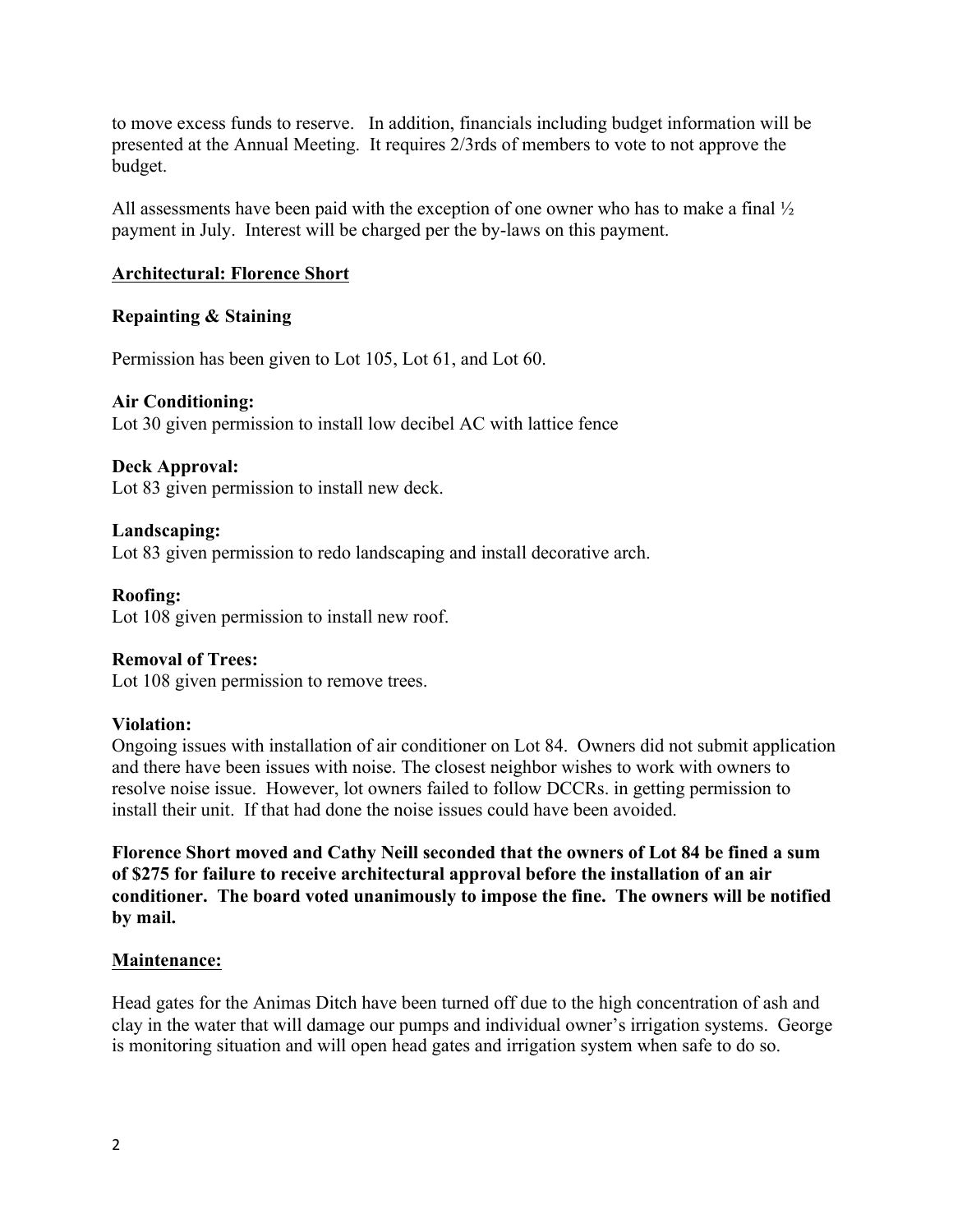to move excess funds to reserve. In addition, financials including budget information will be presented at the Annual Meeting. It requires 2/3rds of members to vote to not approve the budget.

All assessments have been paid with the exception of one owner who has to make a final ½ payment in July. Interest will be charged per the by-laws on this payment.

### **Architectural: Florence Short**

### **Repainting & Staining**

Permission has been given to Lot 105, Lot 61, and Lot 60.

#### **Air Conditioning:**

Lot 30 given permission to install low decibel AC with lattice fence

#### **Deck Approval:**

Lot 83 given permission to install new deck.

#### **Landscaping:**

Lot 83 given permission to redo landscaping and install decorative arch.

# **Roofing:**

Lot 108 given permission to install new roof.

#### **Removal of Trees:**

Lot 108 given permission to remove trees.

#### **Violation:**

Ongoing issues with installation of air conditioner on Lot 84. Owners did not submit application and there have been issues with noise. The closest neighbor wishes to work with owners to resolve noise issue. However, lot owners failed to follow DCCRs. in getting permission to install their unit. If that had done the noise issues could have been avoided.

**Florence Short moved and Cathy Neill seconded that the owners of Lot 84 be fined a sum of \$275 for failure to receive architectural approval before the installation of an air conditioner. The board voted unanimously to impose the fine. The owners will be notified by mail.**

#### **Maintenance:**

Head gates for the Animas Ditch have been turned off due to the high concentration of ash and clay in the water that will damage our pumps and individual owner's irrigation systems. George is monitoring situation and will open head gates and irrigation system when safe to do so.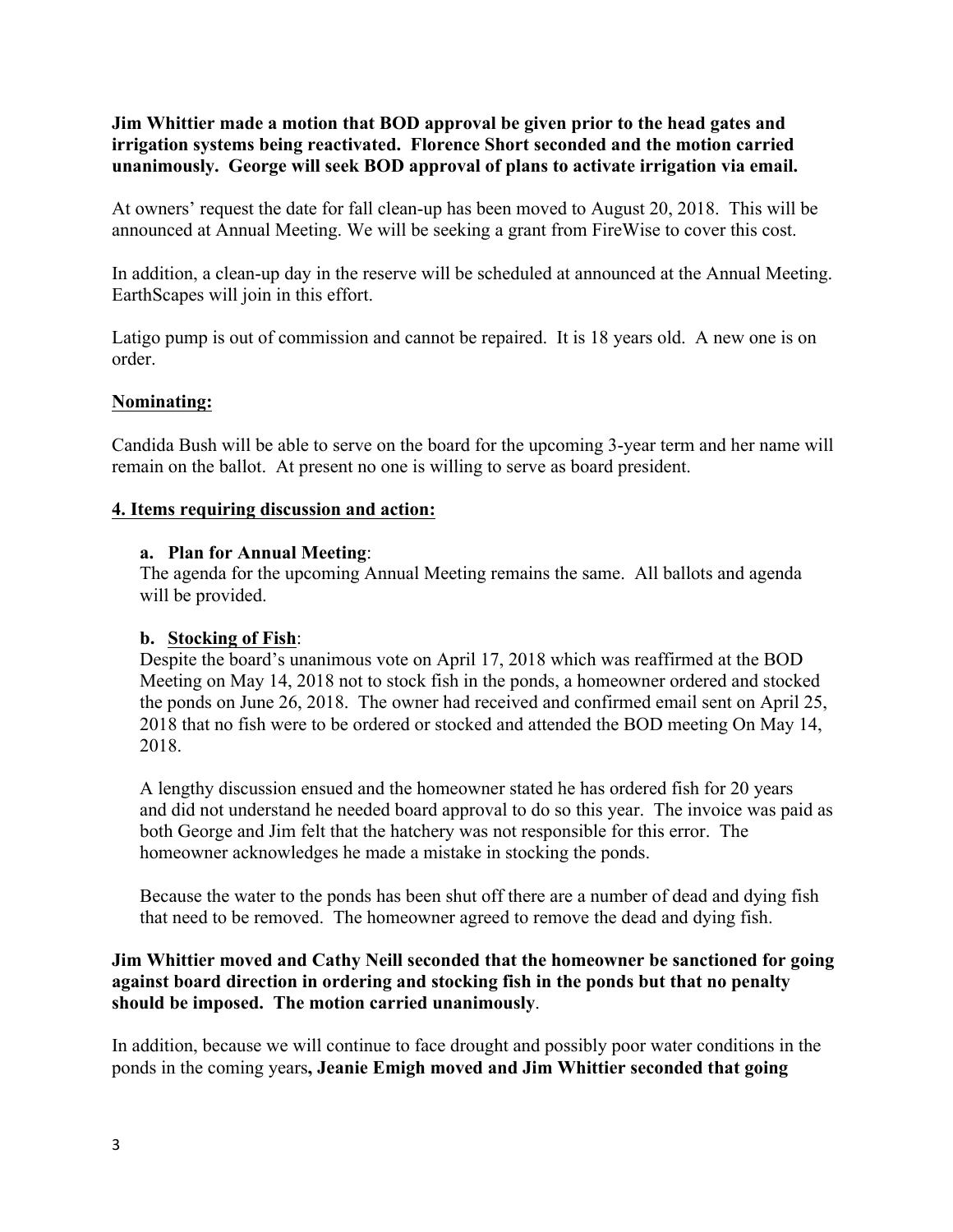**Jim Whittier made a motion that BOD approval be given prior to the head gates and irrigation systems being reactivated. Florence Short seconded and the motion carried unanimously. George will seek BOD approval of plans to activate irrigation via email.** 

At owners' request the date for fall clean-up has been moved to August 20, 2018. This will be announced at Annual Meeting. We will be seeking a grant from FireWise to cover this cost.

In addition, a clean-up day in the reserve will be scheduled at announced at the Annual Meeting. EarthScapes will join in this effort.

Latigo pump is out of commission and cannot be repaired. It is 18 years old. A new one is on order.

## **Nominating:**

Candida Bush will be able to serve on the board for the upcoming 3-year term and her name will remain on the ballot. At present no one is willing to serve as board president.

## **4. Items requiring discussion and action:**

## **a. Plan for Annual Meeting**:

The agenda for the upcoming Annual Meeting remains the same. All ballots and agenda will be provided.

## **b. Stocking of Fish**:

Despite the board's unanimous vote on April 17, 2018 which was reaffirmed at the BOD Meeting on May 14, 2018 not to stock fish in the ponds, a homeowner ordered and stocked the ponds on June 26, 2018. The owner had received and confirmed email sent on April 25, 2018 that no fish were to be ordered or stocked and attended the BOD meeting On May 14, 2018.

A lengthy discussion ensued and the homeowner stated he has ordered fish for 20 years and did not understand he needed board approval to do so this year. The invoice was paid as both George and Jim felt that the hatchery was not responsible for this error. The homeowner acknowledges he made a mistake in stocking the ponds.

Because the water to the ponds has been shut off there are a number of dead and dying fish that need to be removed. The homeowner agreed to remove the dead and dying fish.

## **Jim Whittier moved and Cathy Neill seconded that the homeowner be sanctioned for going against board direction in ordering and stocking fish in the ponds but that no penalty should be imposed. The motion carried unanimously**.

In addition, because we will continue to face drought and possibly poor water conditions in the ponds in the coming years**, Jeanie Emigh moved and Jim Whittier seconded that going**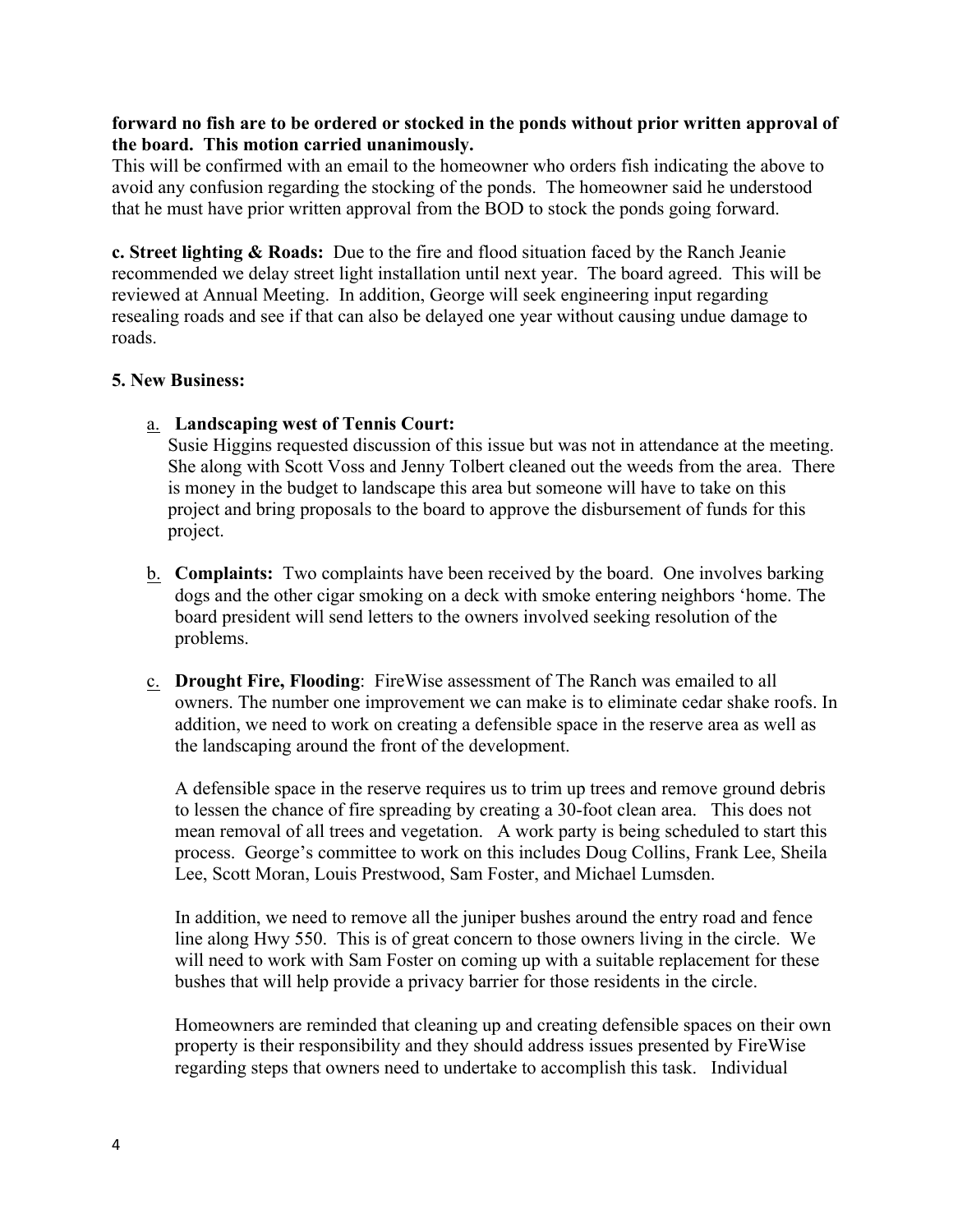#### **forward no fish are to be ordered or stocked in the ponds without prior written approval of the board. This motion carried unanimously.**

This will be confirmed with an email to the homeowner who orders fish indicating the above to avoid any confusion regarding the stocking of the ponds. The homeowner said he understood that he must have prior written approval from the BOD to stock the ponds going forward.

**c. Street lighting & Roads:** Due to the fire and flood situation faced by the Ranch Jeanie recommended we delay street light installation until next year. The board agreed. This will be reviewed at Annual Meeting. In addition, George will seek engineering input regarding resealing roads and see if that can also be delayed one year without causing undue damage to roads.

### **5. New Business:**

a. **Landscaping west of Tennis Court:** 

Susie Higgins requested discussion of this issue but was not in attendance at the meeting. She along with Scott Voss and Jenny Tolbert cleaned out the weeds from the area. There is money in the budget to landscape this area but someone will have to take on this project and bring proposals to the board to approve the disbursement of funds for this project.

- b. **Complaints:** Two complaints have been received by the board. One involves barking dogs and the other cigar smoking on a deck with smoke entering neighbors 'home. The board president will send letters to the owners involved seeking resolution of the problems.
- c. **Drought Fire, Flooding**: FireWise assessment of The Ranch was emailed to all owners. The number one improvement we can make is to eliminate cedar shake roofs. In addition, we need to work on creating a defensible space in the reserve area as well as the landscaping around the front of the development.

A defensible space in the reserve requires us to trim up trees and remove ground debris to lessen the chance of fire spreading by creating a 30-foot clean area. This does not mean removal of all trees and vegetation. A work party is being scheduled to start this process. George's committee to work on this includes Doug Collins, Frank Lee, Sheila Lee, Scott Moran, Louis Prestwood, Sam Foster, and Michael Lumsden.

In addition, we need to remove all the juniper bushes around the entry road and fence line along Hwy 550. This is of great concern to those owners living in the circle. We will need to work with Sam Foster on coming up with a suitable replacement for these bushes that will help provide a privacy barrier for those residents in the circle.

Homeowners are reminded that cleaning up and creating defensible spaces on their own property is their responsibility and they should address issues presented by FireWise regarding steps that owners need to undertake to accomplish this task. Individual